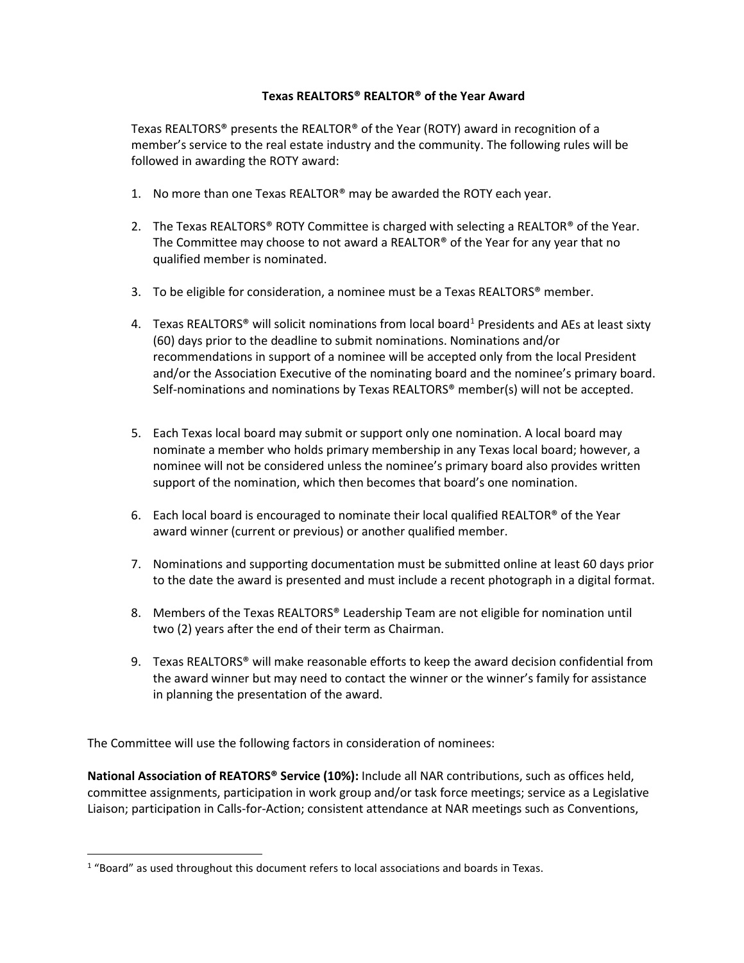## **Texas REALTORS® REALTOR® of the Year Award**

Texas REALTORS® presents the REALTOR® of the Year (ROTY) award in recognition of a member's service to the real estate industry and the community. The following rules will be followed in awarding the ROTY award:

- 1. No more than one Texas REALTOR® may be awarded the ROTY each year.
- 2. The Texas REALTORS® ROTY Committee is charged with selecting a REALTOR® of the Year. The Committee may choose to not award a REALTOR® of the Year for any year that no qualified member is nominated.
- 3. To be eligible for consideration, a nominee must be a Texas REALTORS® member.
- 4. Texas REALTORS<sup>®</sup> will solicit nominations from local board<sup>[1](#page-0-0)</sup> Presidents and AEs at least sixty (60) days prior to the deadline to submit nominations. Nominations and/or recommendations in support of a nominee will be accepted only from the local President and/or the Association Executive of the nominating board and the nominee's primary board. Self-nominations and nominations by Texas REALTORS® member(s) will not be accepted.
- 5. Each Texas local board may submit or support only one nomination. A local board may nominate a member who holds primary membership in any Texas local board; however, a nominee will not be considered unless the nominee's primary board also provides written support of the nomination, which then becomes that board's one nomination.
- 6. Each local board is encouraged to nominate their local qualified REALTOR® of the Year award winner (current or previous) or another qualified member.
- 7. Nominations and supporting documentation must be submitted online at least 60 days prior to the date the award is presented and must include a recent photograph in a digital format.
- 8. Members of the Texas REALTORS® Leadership Team are not eligible for nomination until two (2) years after the end of their term as Chairman.
- 9. Texas REALTORS® will make reasonable efforts to keep the award decision confidential from the award winner but may need to contact the winner or the winner's family for assistance in planning the presentation of the award.

The Committee will use the following factors in consideration of nominees:

**National Association of REATORS® Service (10%):** Include all NAR contributions, such as offices held, committee assignments, participation in work group and/or task force meetings; service as a Legislative Liaison; participation in Calls-for-Action; consistent attendance at NAR meetings such as Conventions,

<span id="page-0-0"></span> $1$  "Board" as used throughout this document refers to local associations and boards in Texas.